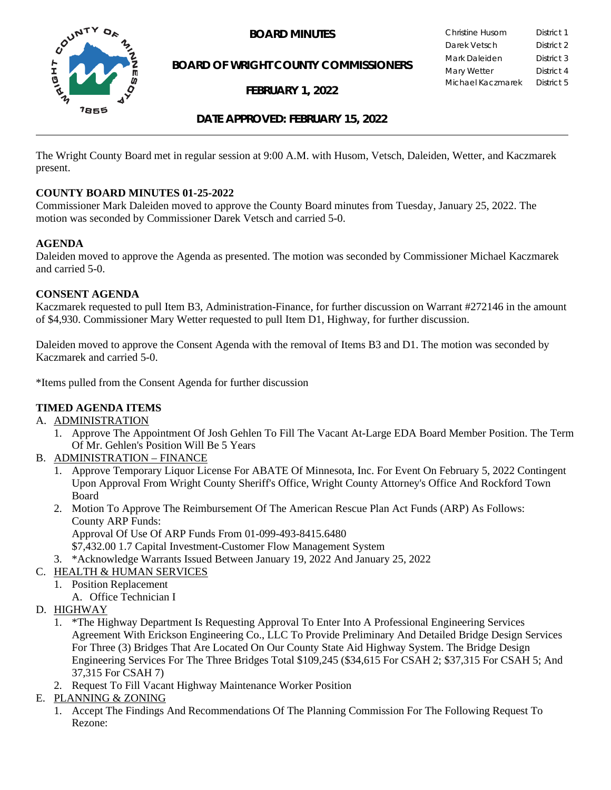

**BOARD OF WRIGHT COUNTY COMMISSIONERS**

**FEBRUARY 1, 2022**

**BOARD MINUTES** Christine Husom District 1<br>Darek Vetsch District 2 Darek Vetsch Mark Daleiden **District 3** Mary Wetter **District 4** Michael Kaczmarek District 5

## **DATE APPROVED: FEBRUARY 15, 2022**

The Wright County Board met in regular session at 9:00 A.M. with Husom, Vetsch, Daleiden, Wetter, and Kaczmarek present.

## **COUNTY BOARD MINUTES 01-25-2022**

Commissioner Mark Daleiden moved to approve the County Board minutes from Tuesday, January 25, 2022. The motion was seconded by Commissioner Darek Vetsch and carried 5-0.

## **AGENDA**

Daleiden moved to approve the Agenda as presented. The motion was seconded by Commissioner Michael Kaczmarek and carried 5-0.

## **CONSENT AGENDA**

Kaczmarek requested to pull Item B3, Administration-Finance, for further discussion on Warrant #272146 in the amount of \$4,930. Commissioner Mary Wetter requested to pull Item D1, Highway, for further discussion.

Daleiden moved to approve the Consent Agenda with the removal of Items B3 and D1. The motion was seconded by Kaczmarek and carried 5-0.

\*Items pulled from the Consent Agenda for further discussion

## **TIMED AGENDA ITEMS**

- A. ADMINISTRATION
	- 1. Approve The Appointment Of Josh Gehlen To Fill The Vacant At-Large EDA Board Member Position. The Term Of Mr. Gehlen's Position Will Be 5 Years
- B. ADMINISTRATION FINANCE
	- 1. Approve Temporary Liquor License For ABATE Of Minnesota, Inc. For Event On February 5, 2022 Contingent Upon Approval From Wright County Sheriff's Office, Wright County Attorney's Office And Rockford Town Board
	- 2. Motion To Approve The Reimbursement Of The American Rescue Plan Act Funds (ARP) As Follows: County ARP Funds: Approval Of Use Of ARP Funds From 01-099-493-8415.6480 \$7,432.00 1.7 Capital Investment-Customer Flow Management System
	- 3. \*Acknowledge Warrants Issued Between January 19, 2022 And January 25, 2022
- C. HEALTH & HUMAN SERVICES
	- 1. Position Replacement A. Office Technician I
- D. HIGHWAY
	- 1. \*The Highway Department Is Requesting Approval To Enter Into A Professional Engineering Services Agreement With Erickson Engineering Co., LLC To Provide Preliminary And Detailed Bridge Design Services For Three (3) Bridges That Are Located On Our County State Aid Highway System. The Bridge Design Engineering Services For The Three Bridges Total \$109,245 (\$34,615 For CSAH 2; \$37,315 For CSAH 5; And 37,315 For CSAH 7)
	- 2. Request To Fill Vacant Highway Maintenance Worker Position
- E. PLANNING & ZONING
	- 1. Accept The Findings And Recommendations Of The Planning Commission For The Following Request To Rezone: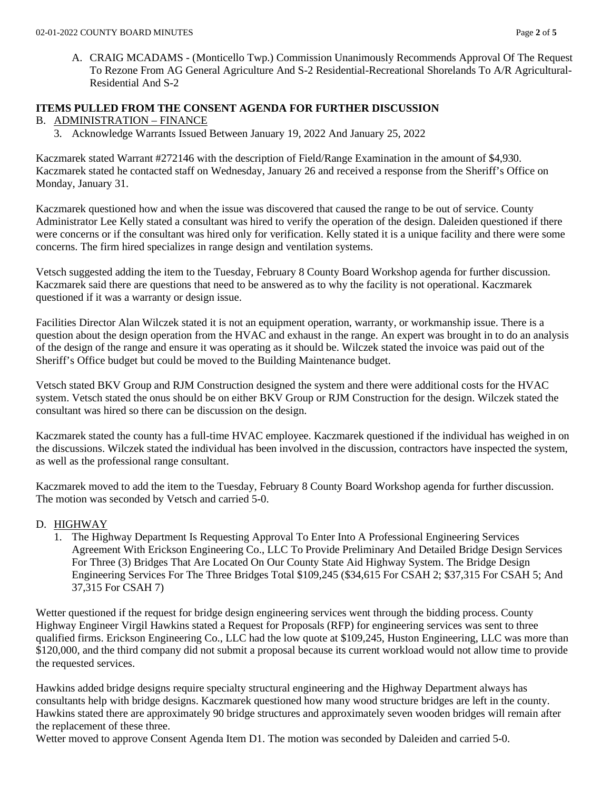A. CRAIG MCADAMS - (Monticello Twp.) Commission Unanimously Recommends Approval Of The Request To Rezone From AG General Agriculture And S-2 Residential-Recreational Shorelands To A/R Agricultural-Residential And S-2

# **ITEMS PULLED FROM THE CONSENT AGENDA FOR FURTHER DISCUSSION**

# B. ADMINISTRATION – FINANCE

3. Acknowledge Warrants Issued Between January 19, 2022 And January 25, 2022

Kaczmarek stated Warrant #272146 with the description of Field/Range Examination in the amount of \$4,930. Kaczmarek stated he contacted staff on Wednesday, January 26 and received a response from the Sheriff's Office on Monday, January 31.

Kaczmarek questioned how and when the issue was discovered that caused the range to be out of service. County Administrator Lee Kelly stated a consultant was hired to verify the operation of the design. Daleiden questioned if there were concerns or if the consultant was hired only for verification. Kelly stated it is a unique facility and there were some concerns. The firm hired specializes in range design and ventilation systems.

Vetsch suggested adding the item to the Tuesday, February 8 County Board Workshop agenda for further discussion. Kaczmarek said there are questions that need to be answered as to why the facility is not operational. Kaczmarek questioned if it was a warranty or design issue.

Facilities Director Alan Wilczek stated it is not an equipment operation, warranty, or workmanship issue. There is a question about the design operation from the HVAC and exhaust in the range. An expert was brought in to do an analysis of the design of the range and ensure it was operating as it should be. Wilczek stated the invoice was paid out of the Sheriff's Office budget but could be moved to the Building Maintenance budget.

Vetsch stated BKV Group and RJM Construction designed the system and there were additional costs for the HVAC system. Vetsch stated the onus should be on either BKV Group or RJM Construction for the design. Wilczek stated the consultant was hired so there can be discussion on the design.

Kaczmarek stated the county has a full-time HVAC employee. Kaczmarek questioned if the individual has weighed in on the discussions. Wilczek stated the individual has been involved in the discussion, contractors have inspected the system, as well as the professional range consultant.

Kaczmarek moved to add the item to the Tuesday, February 8 County Board Workshop agenda for further discussion. The motion was seconded by Vetsch and carried 5-0.

## D. HIGHWAY

1. The Highway Department Is Requesting Approval To Enter Into A Professional Engineering Services Agreement With Erickson Engineering Co., LLC To Provide Preliminary And Detailed Bridge Design Services For Three (3) Bridges That Are Located On Our County State Aid Highway System. The Bridge Design Engineering Services For The Three Bridges Total \$109,245 (\$34,615 For CSAH 2; \$37,315 For CSAH 5; And 37,315 For CSAH 7)

Wetter questioned if the request for bridge design engineering services went through the bidding process. County Highway Engineer Virgil Hawkins stated a Request for Proposals (RFP) for engineering services was sent to three qualified firms. Erickson Engineering Co., LLC had the low quote at \$109,245, Huston Engineering, LLC was more than \$120,000, and the third company did not submit a proposal because its current workload would not allow time to provide the requested services.

Hawkins added bridge designs require specialty structural engineering and the Highway Department always has consultants help with bridge designs. Kaczmarek questioned how many wood structure bridges are left in the county. Hawkins stated there are approximately 90 bridge structures and approximately seven wooden bridges will remain after the replacement of these three.

Wetter moved to approve Consent Agenda Item D1. The motion was seconded by Daleiden and carried 5-0.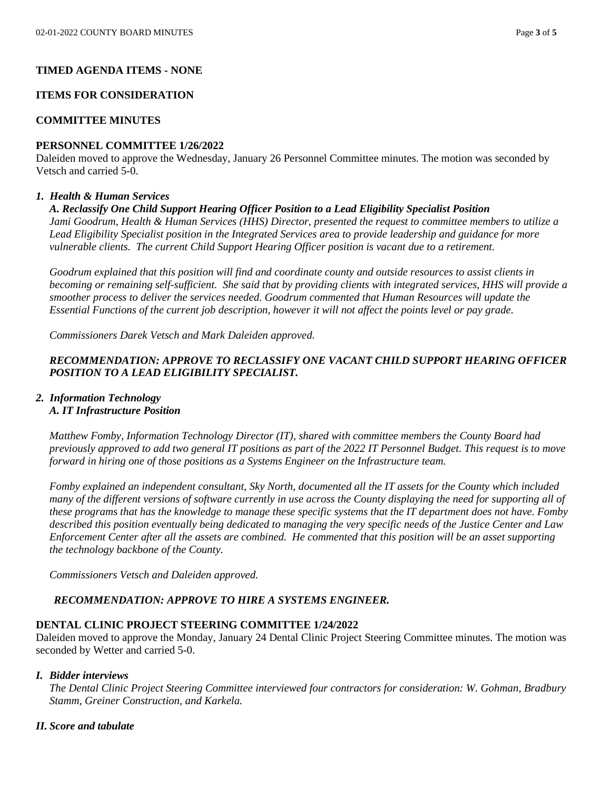### **TIMED AGENDA ITEMS - NONE**

### **ITEMS FOR CONSIDERATION**

### **COMMITTEE MINUTES**

### **PERSONNEL COMMITTEE 1/26/2022**

Daleiden moved to approve the Wednesday, January 26 Personnel Committee minutes. The motion was seconded by Vetsch and carried 5-0.

#### *1. Health & Human Services*

#### *A. Reclassify One Child Support Hearing Officer Position to a Lead Eligibility Specialist Position*

*Jami Goodrum, Health & Human Services (HHS) Director, presented the request to committee members to utilize a Lead Eligibility Specialist position in the Integrated Services area to provide leadership and guidance for more vulnerable clients. The current Child Support Hearing Officer position is vacant due to a retirement.*

*Goodrum explained that this position will find and coordinate county and outside resources to assist clients in becoming or remaining self-sufficient. She said that by providing clients with integrated services, HHS will provide a smoother process to deliver the services needed. Goodrum commented that Human Resources will update the Essential Functions of the current job description, however it will not affect the points level or pay grade.* 

*Commissioners Darek Vetsch and Mark Daleiden approved.*

## *RECOMMENDATION: APPROVE TO RECLASSIFY ONE VACANT CHILD SUPPORT HEARING OFFICER POSITION TO A LEAD ELIGIBILITY SPECIALIST.*

## *2. Information Technology A. IT Infrastructure Position*

*Matthew Fomby, Information Technology Director (IT), shared with committee members the County Board had previously approved to add two general IT positions as part of the 2022 IT Personnel Budget. This request is to move forward in hiring one of those positions as a Systems Engineer on the Infrastructure team.*

*Fomby explained an independent consultant, Sky North, documented all the IT assets for the County which included many of the different versions of software currently in use across the County displaying the need for supporting all of these programs that has the knowledge to manage these specific systems that the IT department does not have. Fomby described this position eventually being dedicated to managing the very specific needs of the Justice Center and Law Enforcement Center after all the assets are combined. He commented that this position will be an asset supporting the technology backbone of the County.* 

*Commissioners Vetsch and Daleiden approved.*

## *RECOMMENDATION: APPROVE TO HIRE A SYSTEMS ENGINEER.*

#### **DENTAL CLINIC PROJECT STEERING COMMITTEE 1/24/2022**

Daleiden moved to approve the Monday, January 24 Dental Clinic Project Steering Committee minutes. The motion was seconded by Wetter and carried 5-0.

#### *I. Bidder interviews*

*The Dental Clinic Project Steering Committee interviewed four contractors for consideration: W. Gohman, Bradbury Stamm, Greiner Construction, and Karkela.* 

#### *II. Score and tabulate*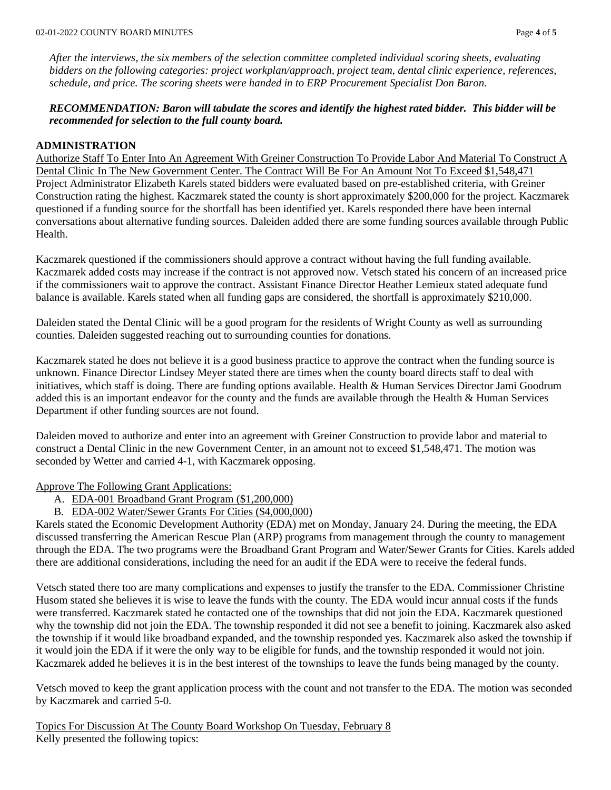*After the interviews, the six members of the selection committee completed individual scoring sheets, evaluating bidders on the following categories: project workplan/approach, project team, dental clinic experience, references, schedule, and price. The scoring sheets were handed in to ERP Procurement Specialist Don Baron.* 

## *RECOMMENDATION: Baron will tabulate the scores and identify the highest rated bidder. This bidder will be recommended for selection to the full county board.*

### **ADMINISTRATION**

Authorize Staff To Enter Into An Agreement With Greiner Construction To Provide Labor And Material To Construct A Dental Clinic In The New Government Center. The Contract Will Be For An Amount Not To Exceed \$1,548,471 Project Administrator Elizabeth Karels stated bidders were evaluated based on pre-established criteria, with Greiner Construction rating the highest. Kaczmarek stated the county is short approximately \$200,000 for the project. Kaczmarek questioned if a funding source for the shortfall has been identified yet. Karels responded there have been internal conversations about alternative funding sources. Daleiden added there are some funding sources available through Public Health.

Kaczmarek questioned if the commissioners should approve a contract without having the full funding available. Kaczmarek added costs may increase if the contract is not approved now. Vetsch stated his concern of an increased price if the commissioners wait to approve the contract. Assistant Finance Director Heather Lemieux stated adequate fund balance is available. Karels stated when all funding gaps are considered, the shortfall is approximately \$210,000.

Daleiden stated the Dental Clinic will be a good program for the residents of Wright County as well as surrounding counties. Daleiden suggested reaching out to surrounding counties for donations.

Kaczmarek stated he does not believe it is a good business practice to approve the contract when the funding source is unknown. Finance Director Lindsey Meyer stated there are times when the county board directs staff to deal with initiatives, which staff is doing. There are funding options available. Health & Human Services Director Jami Goodrum added this is an important endeavor for the county and the funds are available through the Health & Human Services Department if other funding sources are not found.

Daleiden moved to authorize and enter into an agreement with Greiner Construction to provide labor and material to construct a Dental Clinic in the new Government Center, in an amount not to exceed \$1,548,471. The motion was seconded by Wetter and carried 4-1, with Kaczmarek opposing.

Approve The Following Grant Applications:

- A. EDA-001 Broadband Grant Program (\$1,200,000)
- B. EDA-002 Water/Sewer Grants For Cities (\$4,000,000)

Karels stated the Economic Development Authority (EDA) met on Monday, January 24. During the meeting, the EDA discussed transferring the American Rescue Plan (ARP) programs from management through the county to management through the EDA. The two programs were the Broadband Grant Program and Water/Sewer Grants for Cities. Karels added there are additional considerations, including the need for an audit if the EDA were to receive the federal funds.

Vetsch stated there too are many complications and expenses to justify the transfer to the EDA. Commissioner Christine Husom stated she believes it is wise to leave the funds with the county. The EDA would incur annual costs if the funds were transferred. Kaczmarek stated he contacted one of the townships that did not join the EDA. Kaczmarek questioned why the township did not join the EDA. The township responded it did not see a benefit to joining. Kaczmarek also asked the township if it would like broadband expanded, and the township responded yes. Kaczmarek also asked the township if it would join the EDA if it were the only way to be eligible for funds, and the township responded it would not join. Kaczmarek added he believes it is in the best interest of the townships to leave the funds being managed by the county.

Vetsch moved to keep the grant application process with the count and not transfer to the EDA. The motion was seconded by Kaczmarek and carried 5-0.

Topics For Discussion At The County Board Workshop On Tuesday, February 8 Kelly presented the following topics: